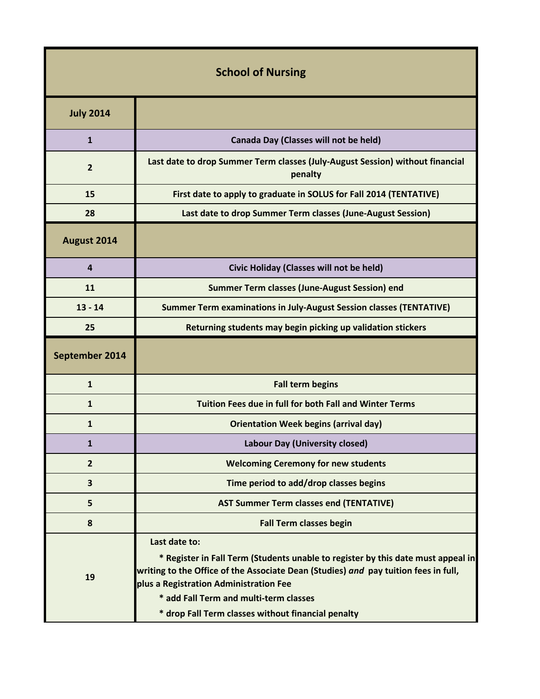| <b>School of Nursing</b> |                                                                                                                                                                                                                                                                                                                                    |  |
|--------------------------|------------------------------------------------------------------------------------------------------------------------------------------------------------------------------------------------------------------------------------------------------------------------------------------------------------------------------------|--|
| <b>July 2014</b>         |                                                                                                                                                                                                                                                                                                                                    |  |
| $\mathbf{1}$             | Canada Day (Classes will not be held)                                                                                                                                                                                                                                                                                              |  |
| $\overline{2}$           | Last date to drop Summer Term classes (July-August Session) without financial<br>penalty                                                                                                                                                                                                                                           |  |
| 15                       | First date to apply to graduate in SOLUS for Fall 2014 (TENTATIVE)                                                                                                                                                                                                                                                                 |  |
| 28                       | Last date to drop Summer Term classes (June-August Session)                                                                                                                                                                                                                                                                        |  |
| August 2014              |                                                                                                                                                                                                                                                                                                                                    |  |
| 4                        | Civic Holiday (Classes will not be held)                                                                                                                                                                                                                                                                                           |  |
| 11                       | Summer Term classes (June-August Session) end                                                                                                                                                                                                                                                                                      |  |
| $13 - 14$                | <b>Summer Term examinations in July-August Session classes (TENTATIVE)</b>                                                                                                                                                                                                                                                         |  |
| 25                       | Returning students may begin picking up validation stickers                                                                                                                                                                                                                                                                        |  |
| September 2014           |                                                                                                                                                                                                                                                                                                                                    |  |
| $\mathbf{1}$             | <b>Fall term begins</b>                                                                                                                                                                                                                                                                                                            |  |
| $\mathbf{1}$             | <b>Tuition Fees due in full for both Fall and Winter Terms</b>                                                                                                                                                                                                                                                                     |  |
| 1                        | <b>Orientation Week begins (arrival day)</b>                                                                                                                                                                                                                                                                                       |  |
| 1                        | <b>Labour Day (University closed)</b>                                                                                                                                                                                                                                                                                              |  |
| $\overline{2}$           | <b>Welcoming Ceremony for new students</b>                                                                                                                                                                                                                                                                                         |  |
| 3                        | Time period to add/drop classes begins                                                                                                                                                                                                                                                                                             |  |
| 5                        | <b>AST Summer Term classes end (TENTATIVE)</b>                                                                                                                                                                                                                                                                                     |  |
| 8                        | <b>Fall Term classes begin</b>                                                                                                                                                                                                                                                                                                     |  |
| 19                       | Last date to:<br>* Register in Fall Term (Students unable to register by this date must appeal in<br>writing to the Office of the Associate Dean (Studies) and pay tuition fees in full,<br>plus a Registration Administration Fee<br>* add Fall Term and multi-term classes<br>* drop Fall Term classes without financial penalty |  |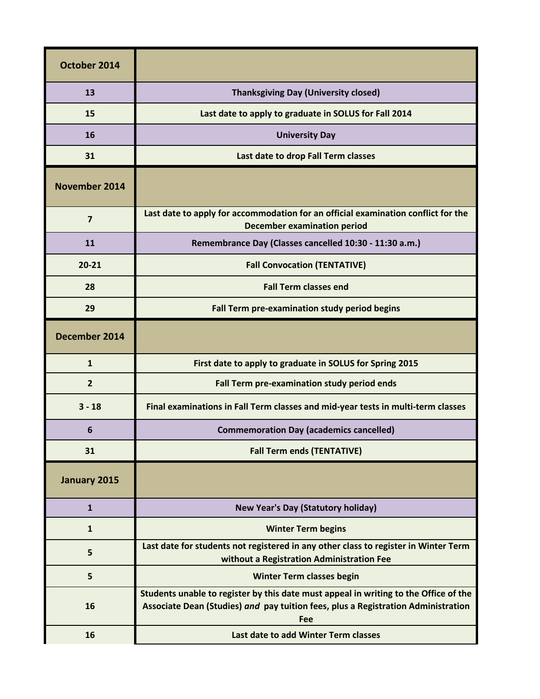| October 2014   |                                                                                                                                                                                  |
|----------------|----------------------------------------------------------------------------------------------------------------------------------------------------------------------------------|
| 13             | <b>Thanksgiving Day (University closed)</b>                                                                                                                                      |
| 15             | Last date to apply to graduate in SOLUS for Fall 2014                                                                                                                            |
| 16             | <b>University Day</b>                                                                                                                                                            |
| 31             | Last date to drop Fall Term classes                                                                                                                                              |
| November 2014  |                                                                                                                                                                                  |
| $\overline{7}$ | Last date to apply for accommodation for an official examination conflict for the<br><b>December examination period</b>                                                          |
| 11             | Remembrance Day (Classes cancelled 10:30 - 11:30 a.m.)                                                                                                                           |
| $20 - 21$      | <b>Fall Convocation (TENTATIVE)</b>                                                                                                                                              |
| 28             | <b>Fall Term classes end</b>                                                                                                                                                     |
| 29             | Fall Term pre-examination study period begins                                                                                                                                    |
| December 2014  |                                                                                                                                                                                  |
| $\mathbf{1}$   | First date to apply to graduate in SOLUS for Spring 2015                                                                                                                         |
| $\overline{2}$ | Fall Term pre-examination study period ends                                                                                                                                      |
| $3 - 18$       | Final examinations in Fall Term classes and mid-year tests in multi-term classes                                                                                                 |
| 6              | <b>Commemoration Day (academics cancelled)</b>                                                                                                                                   |
| 31             | <b>Fall Term ends (TENTATIVE)</b>                                                                                                                                                |
| January 2015   |                                                                                                                                                                                  |
| $\mathbf{1}$   | <b>New Year's Day (Statutory holiday)</b>                                                                                                                                        |
| $\mathbf{1}$   | <b>Winter Term begins</b>                                                                                                                                                        |
| 5              | Last date for students not registered in any other class to register in Winter Term<br>without a Registration Administration Fee                                                 |
| 5              | <b>Winter Term classes begin</b>                                                                                                                                                 |
| 16             | Students unable to register by this date must appeal in writing to the Office of the<br>Associate Dean (Studies) and pay tuition fees, plus a Registration Administration<br>Fee |
| 16             | Last date to add Winter Term classes                                                                                                                                             |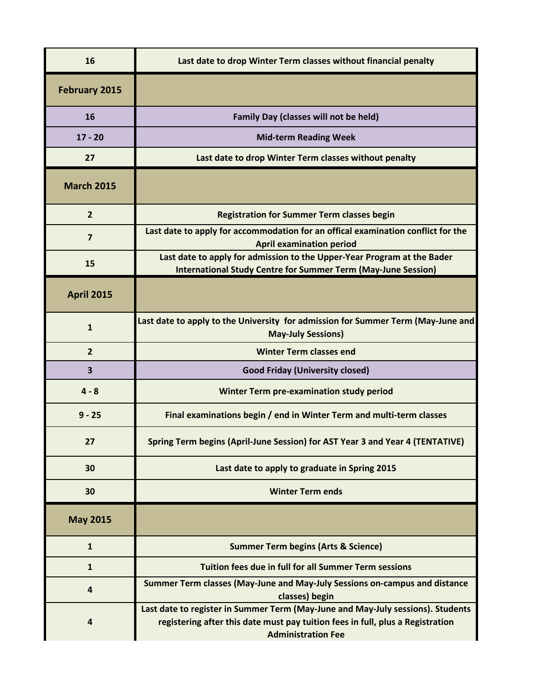| 16                      | Last date to drop Winter Term classes without financial penalty                                                                                                                                |
|-------------------------|------------------------------------------------------------------------------------------------------------------------------------------------------------------------------------------------|
| <b>February 2015</b>    |                                                                                                                                                                                                |
| 16                      | <b>Family Day (classes will not be held)</b>                                                                                                                                                   |
| $17 - 20$               | <b>Mid-term Reading Week</b>                                                                                                                                                                   |
| 27                      | Last date to drop Winter Term classes without penalty                                                                                                                                          |
| <b>March 2015</b>       |                                                                                                                                                                                                |
| $\overline{2}$          | <b>Registration for Summer Term classes begin</b>                                                                                                                                              |
| $\overline{7}$          | Last date to apply for accommodation for an offical examination conflict for the<br><b>April examination period</b>                                                                            |
| 15                      | Last date to apply for admission to the Upper-Year Program at the Bader<br><b>International Study Centre for Summer Term (May-June Session)</b>                                                |
| <b>April 2015</b>       |                                                                                                                                                                                                |
| $\mathbf{1}$            | Last date to apply to the University for admission for Summer Term (May-June and<br><b>May-July Sessions)</b>                                                                                  |
| $\overline{2}$          | <b>Winter Term classes end</b>                                                                                                                                                                 |
| $\overline{\mathbf{3}}$ | <b>Good Friday (University closed)</b>                                                                                                                                                         |
| $4 - 8$                 | Winter Term pre-examination study period                                                                                                                                                       |
| $9 - 25$                | Final examinations begin / end in Winter Term and multi-term classes                                                                                                                           |
| 27                      | Spring Term begins (April-June Session) for AST Year 3 and Year 4 (TENTATIVE)                                                                                                                  |
| 30                      | Last date to apply to graduate in Spring 2015                                                                                                                                                  |
| 30                      | <b>Winter Term ends</b>                                                                                                                                                                        |
| <b>May 2015</b>         |                                                                                                                                                                                                |
| $\mathbf{1}$            | <b>Summer Term begins (Arts &amp; Science)</b>                                                                                                                                                 |
| $\mathbf{1}$            | Tuition fees due in full for all Summer Term sessions                                                                                                                                          |
| 4                       | Summer Term classes (May-June and May-July Sessions on-campus and distance<br>classes) begin                                                                                                   |
| 4                       | Last date to register in Summer Term (May-June and May-July sessions). Students<br>registering after this date must pay tuition fees in full, plus a Registration<br><b>Administration Fee</b> |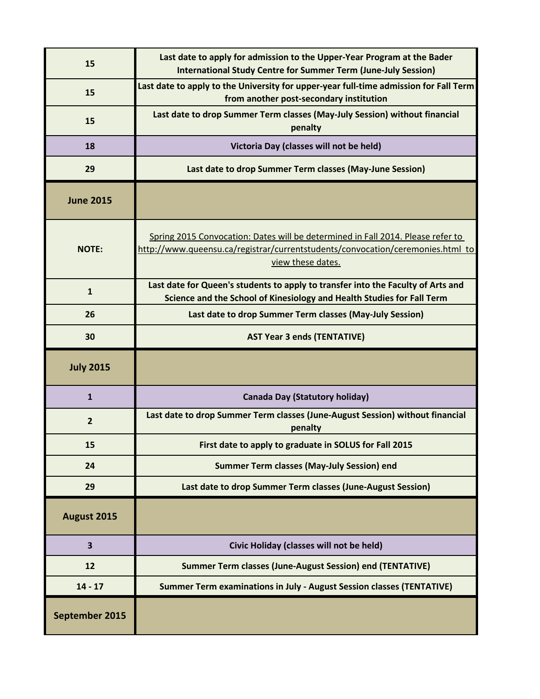| 15                      | Last date to apply for admission to the Upper-Year Program at the Bader<br><b>International Study Centre for Summer Term (June-July Session)</b>                                       |
|-------------------------|----------------------------------------------------------------------------------------------------------------------------------------------------------------------------------------|
| 15                      | Last date to apply to the University for upper-year full-time admission for Fall Term<br>from another post-secondary institution                                                       |
| 15                      | Last date to drop Summer Term classes (May-July Session) without financial<br>penalty                                                                                                  |
| 18                      | Victoria Day (classes will not be held)                                                                                                                                                |
| 29                      | Last date to drop Summer Term classes (May-June Session)                                                                                                                               |
| <b>June 2015</b>        |                                                                                                                                                                                        |
| <b>NOTE:</b>            | Spring 2015 Convocation: Dates will be determined in Fall 2014. Please refer to<br>http://www.queensu.ca/registrar/currentstudents/convocation/ceremonies.html to<br>view these dates. |
| $\mathbf{1}$            | Last date for Queen's students to apply to transfer into the Faculty of Arts and<br>Science and the School of Kinesiology and Health Studies for Fall Term                             |
| 26                      | Last date to drop Summer Term classes (May-July Session)                                                                                                                               |
| 30                      | <b>AST Year 3 ends (TENTATIVE)</b>                                                                                                                                                     |
|                         |                                                                                                                                                                                        |
| <b>July 2015</b>        |                                                                                                                                                                                        |
| $\mathbf{1}$            | <b>Canada Day (Statutory holiday)</b>                                                                                                                                                  |
| $\overline{2}$          | Last date to drop Summer Term classes (June-August Session) without financial<br>penalty                                                                                               |
| 15                      | First date to apply to graduate in SOLUS for Fall 2015                                                                                                                                 |
| 24                      | <b>Summer Term classes (May-July Session) end</b>                                                                                                                                      |
| 29                      | Last date to drop Summer Term classes (June-August Session)                                                                                                                            |
| August 2015             |                                                                                                                                                                                        |
| $\overline{\mathbf{3}}$ | Civic Holiday (classes will not be held)                                                                                                                                               |
| 12                      | <b>Summer Term classes (June-August Session) end (TENTATIVE)</b>                                                                                                                       |
| $14 - 17$               | Summer Term examinations in July - August Session classes (TENTATIVE)                                                                                                                  |